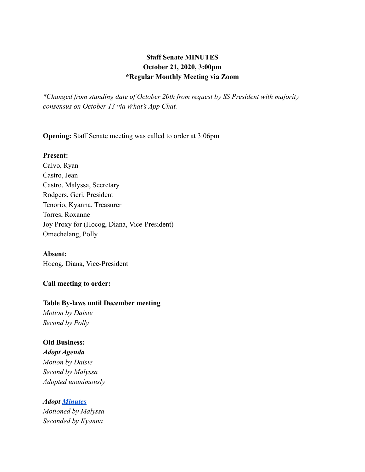# **Staff Senate MINUTES October 21, 2020, 3:00pm \*Regular Monthly Meeting via Zoom**

*\*Changed from standing date of October 20th from request by SS President with majority consensus on October 13 via What's App Chat.*

**Opening:** Staff Senate meeting was called to order at 3:06pm

#### **Present:**

Calvo, Ryan Castro, Jean Castro, Malyssa, Secretary Rodgers, Geri, President Tenorio, Kyanna, Treasurer Torres, Roxanne Joy Proxy for (Hocog, Diana, Vice-President) Omechelang, Polly

### **Absent:**

Hocog, Diana, Vice-President

### **Call meeting to order:**

#### **Table By-laws until December meeting**

*Motion by Daisie Second by Polly*

### **Old Business:**

*Adopt Agenda Motion by Daisie Second by Malyssa Adopted unanimously*

*Adopt [Minutes](https://docs.google.com/document/d/1gOu1kKA2opvNhaFU_fFlPqWy5qWLPg2edvA2LFOcFEU/edit?usp=sharing) Motioned by Malyssa Seconded by Kyanna*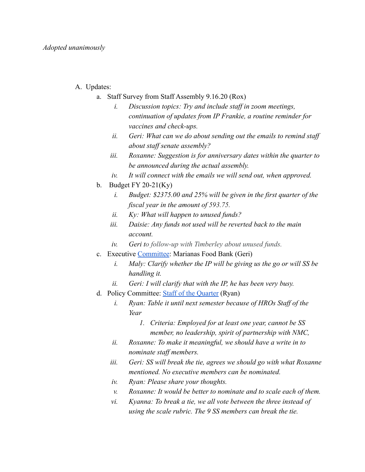- A. Updates:
	- a. Staff Survey from Staff Assembly 9.16.20 (Rox)
		- *i. Discussion topics: Try and include staff in zoom meetings, continuation of updates from IP Frankie, a routine reminder for vaccines and check-ups.*
		- *ii. Geri: What can we do about sending out the emails to remind staff about staff senate assembly?*
		- *iii. Roxanne: Suggestion is for anniversary dates within the quarter to be announced during the actual assembly.*
		- *iv. It will connect with the emails we will send out, when approved.*
	- b. Budget FY 20-21 $(Ky)$ 
		- *i. Budget: \$2375.00 and 25% will be given in the first quarter of the fiscal year in the amount of 593.75.*
		- *ii. Ky: What will happen to unused funds?*
		- *iii. Daisie: Any funds not used will be reverted back to the main account.*
		- *iv. Geri to follow-up with Timberley about unused funds.*
	- c. Executive [Committee](https://docs.google.com/document/d/1083Q9Dyw9CDy2i8W-WAGcZxFqfi-aa2OyVHgYGfoerA/edit): Marianas Food Bank (Geri)
		- *i. Maly: Clarify whether the IP will be giving us the go or will SS be handling it.*
		- *ii. Geri: I will clarify that with the IP, he has been very busy.*
	- d. Policy Committee: [Staff of the Quarter](https://docs.google.com/document/d/14pUSwcQ4oYrkBJ-kyCyt5Xje3HooPulzKK_gkgNyfjE/edit) (Ryan)
		- *i. Ryan: Table it until next semester because of HROs Staff of the Year*
			- *1. Criteria: Employed for at least one year, cannot be SS member, no leadership, spirit of partnership with NMC,*
		- *ii. Roxanne: To make it meaningful, we should have a write in to nominate staff members.*
		- *iii. Geri: SS will break the tie, agrees we should go with what Roxanne mentioned. No executive members can be nominated.*
		- *iv. Ryan: Please share your thoughts.*
		- *v. Roxanne: It would be better to nominate and to scale each of them.*
		- *vi. Kyanna: To break a tie, we all vote between the three instead of using the scale rubric. The 9 SS members can break the tie.*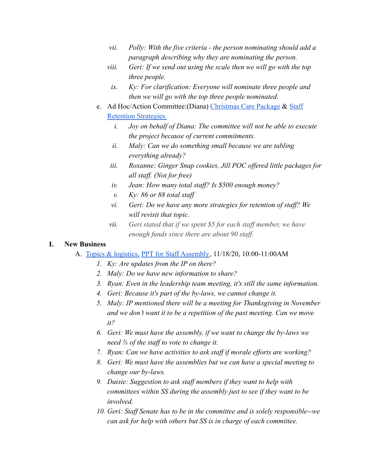- *vii. Polly: With the five criteria the person nominating should add a paragraph describing why they are nominating the person.*
- *viii. Geri: If we send out using the scale then we will go with the top three people.*
	- *ix. Ky: For clarification: Everyone will nominate three people and then we will go with the top three people nominated.*
- e. Ad Hoc/Action Committee:(Diana) [Christmas Care Package](https://docs.google.com/document/d/1rd9NqJ7ixMKwt92SN3oihs3yO5V9e5kxHavObpemoc8/edit) & [Staff](https://docs.google.com/document/d/1ukmPmWmiwBHLSAcv4z53cSkPqAB9LOnIYTKxMp-LNSA/edit) [Retention Strategies.](https://docs.google.com/document/d/1ukmPmWmiwBHLSAcv4z53cSkPqAB9LOnIYTKxMp-LNSA/edit)
	- *i. Joy on behalf of Diana: The committee will not be able to execute the project because of current commitments.*
	- *ii. Maly: Can we do something small because we are tabling everything already?*
	- *iii. Roxanne: Ginger Snap cookies, Jill POC offered little packages for all staff. (Not for free)*
	- *iv. Jean: How many total staff? Is \$500 enough money?*
	- *v. Ky: 86 or 88 total staff*
	- *vi. Geri: Do we have any more strategies for retention of staff? We will revisit that topic.*
	- *vii. Geri stated that if we spent \$5 for each staff member, we have enough funds since there are about 90 staff.*

### **I. New Business**

- A. [Topics & logistics,](https://docs.google.com/document/d/1UhGuuqs6KddYoLv5hDY_AxAj9OhkKgeezptJKEdOcLE/edit) [PPT for Staff Assembly,](https://docs.google.com/presentation/d/1uO_Ogw02IXolvAjV4cDNvVdN-FUl6iP52OE7KQWoZDY/edit#slide=id.g96814095c0_0_1011) 11/18/20, 10:00-11:00AM
	- *1. Ky: Are updates from the IP on there?*
	- *2. Maly: Do we have new information to share?*
	- *3. Ryan: Even in the leadership team meeting, it's still the same information.*
	- *4. Geri: Because it's part of the by-laws, we cannot change it.*
	- *5. Maly: IP mentioned there will be a meeting for Thanksgiving in November and we don't want it to be a repetition of the past meeting. Can we move it?*
	- *6. Geri: We must have the assembly, if we want to change the by-laws we need ⅔ of the staff to vote to change it.*
	- *7. Ryan: Can we have activities to ask staff if morale efforts are working?*
	- *8. Geri: We must have the assemblies but we can have a special meeting to change our by-laws.*
	- *9. Daisie: Suggestion to ask staff members if they want to help with committees within SS during the assembly just to see if they want to be involved.*
	- *10. Geri: Staff Senate has to be in the committee and is solely responsible--we can ask for help with others but SS is in charge of each committee.*